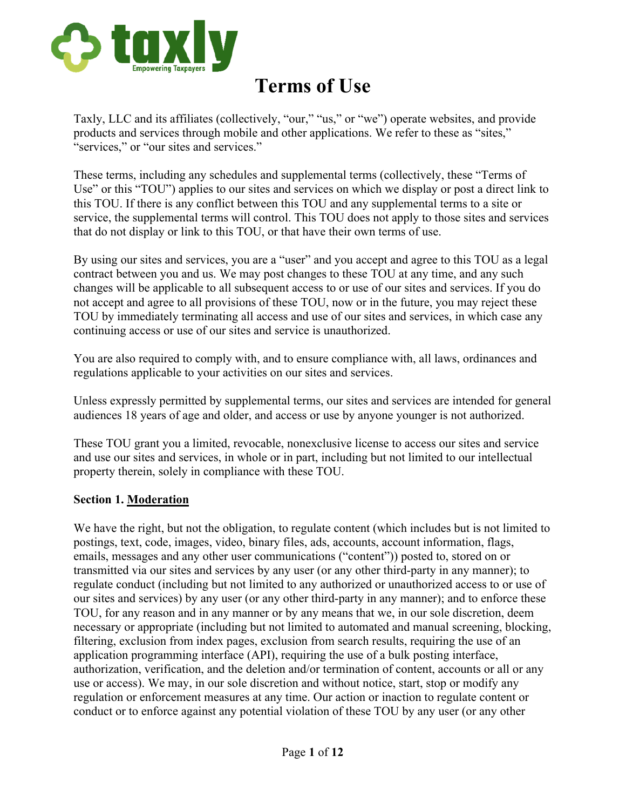

# **Terms of Use**

Taxly, LLC and its affiliates (collectively, "our," "us," or "we") operate websites, and provide products and services through mobile and other applications. We refer to these as "sites," "services," or "our sites and services."

These terms, including any schedules and supplemental terms (collectively, these "Terms of Use" or this "TOU") applies to our sites and services on which we display or post a direct link to this TOU. If there is any conflict between this TOU and any supplemental terms to a site or service, the supplemental terms will control. This TOU does not apply to those sites and services that do not display or link to this TOU, or that have their own terms of use.

By using our sites and services, you are a "user" and you accept and agree to this TOU as a legal contract between you and us. We may post changes to these TOU at any time, and any such changes will be applicable to all subsequent access to or use of our sites and services. If you do not accept and agree to all provisions of these TOU, now or in the future, you may reject these TOU by immediately terminating all access and use of our sites and services, in which case any continuing access or use of our sites and service is unauthorized.

You are also required to comply with, and to ensure compliance with, all laws, ordinances and regulations applicable to your activities on our sites and services.

Unless expressly permitted by supplemental terms, our sites and services are intended for general audiences 18 years of age and older, and access or use by anyone younger is not authorized.

These TOU grant you a limited, revocable, nonexclusive license to access our sites and service and use our sites and services, in whole or in part, including but not limited to our intellectual property therein, solely in compliance with these TOU.

#### **Section 1. Moderation**

We have the right, but not the obligation, to regulate content (which includes but is not limited to postings, text, code, images, video, binary files, ads, accounts, account information, flags, emails, messages and any other user communications ("content")) posted to, stored on or transmitted via our sites and services by any user (or any other third-party in any manner); to regulate conduct (including but not limited to any authorized or unauthorized access to or use of our sites and services) by any user (or any other third-party in any manner); and to enforce these TOU, for any reason and in any manner or by any means that we, in our sole discretion, deem necessary or appropriate (including but not limited to automated and manual screening, blocking, filtering, exclusion from index pages, exclusion from search results, requiring the use of an application programming interface (API), requiring the use of a bulk posting interface, authorization, verification, and the deletion and/or termination of content, accounts or all or any use or access). We may, in our sole discretion and without notice, start, stop or modify any regulation or enforcement measures at any time. Our action or inaction to regulate content or conduct or to enforce against any potential violation of these TOU by any user (or any other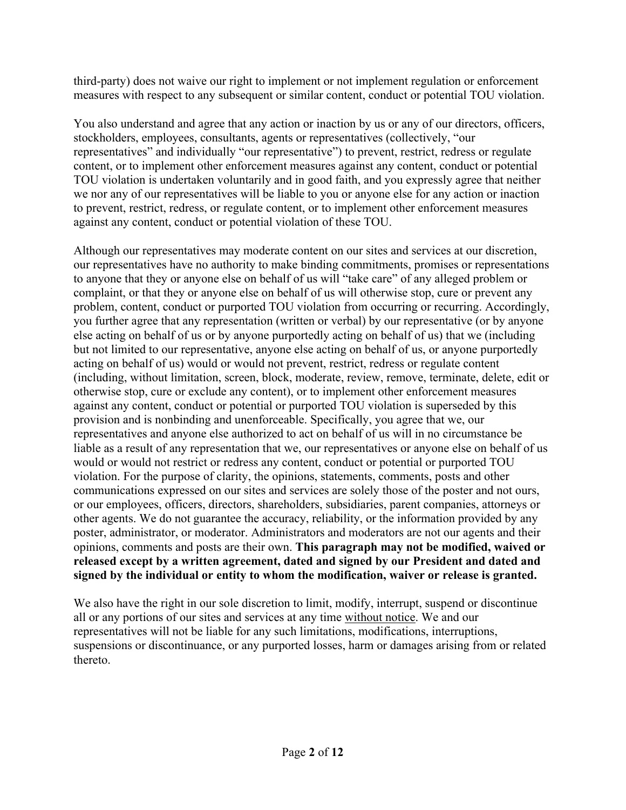third-party) does not waive our right to implement or not implement regulation or enforcement measures with respect to any subsequent or similar content, conduct or potential TOU violation.

You also understand and agree that any action or inaction by us or any of our directors, officers, stockholders, employees, consultants, agents or representatives (collectively, "our representatives" and individually "our representative") to prevent, restrict, redress or regulate content, or to implement other enforcement measures against any content, conduct or potential TOU violation is undertaken voluntarily and in good faith, and you expressly agree that neither we nor any of our representatives will be liable to you or anyone else for any action or inaction to prevent, restrict, redress, or regulate content, or to implement other enforcement measures against any content, conduct or potential violation of these TOU.

Although our representatives may moderate content on our sites and services at our discretion, our representatives have no authority to make binding commitments, promises or representations to anyone that they or anyone else on behalf of us will "take care" of any alleged problem or complaint, or that they or anyone else on behalf of us will otherwise stop, cure or prevent any problem, content, conduct or purported TOU violation from occurring or recurring. Accordingly, you further agree that any representation (written or verbal) by our representative (or by anyone else acting on behalf of us or by anyone purportedly acting on behalf of us) that we (including but not limited to our representative, anyone else acting on behalf of us, or anyone purportedly acting on behalf of us) would or would not prevent, restrict, redress or regulate content (including, without limitation, screen, block, moderate, review, remove, terminate, delete, edit or otherwise stop, cure or exclude any content), or to implement other enforcement measures against any content, conduct or potential or purported TOU violation is superseded by this provision and is nonbinding and unenforceable. Specifically, you agree that we, our representatives and anyone else authorized to act on behalf of us will in no circumstance be liable as a result of any representation that we, our representatives or anyone else on behalf of us would or would not restrict or redress any content, conduct or potential or purported TOU violation. For the purpose of clarity, the opinions, statements, comments, posts and other communications expressed on our sites and services are solely those of the poster and not ours, or our employees, officers, directors, shareholders, subsidiaries, parent companies, attorneys or other agents. We do not guarantee the accuracy, reliability, or the information provided by any poster, administrator, or moderator. Administrators and moderators are not our agents and their opinions, comments and posts are their own. **This paragraph may not be modified, waived or released except by a written agreement, dated and signed by our President and dated and signed by the individual or entity to whom the modification, waiver or release is granted.**

We also have the right in our sole discretion to limit, modify, interrupt, suspend or discontinue all or any portions of our sites and services at any time without notice. We and our representatives will not be liable for any such limitations, modifications, interruptions, suspensions or discontinuance, or any purported losses, harm or damages arising from or related thereto.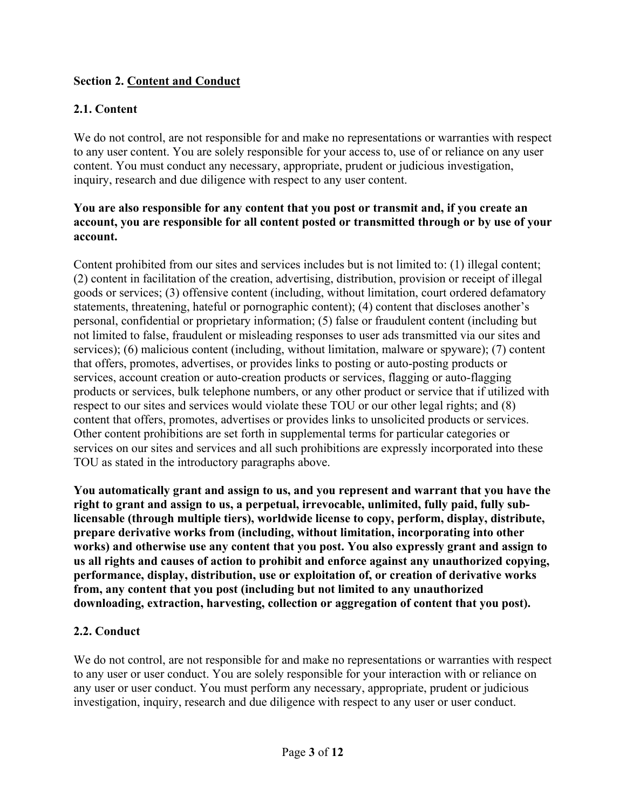# **Section 2. Content and Conduct**

# **2.1. Content**

We do not control, are not responsible for and make no representations or warranties with respect to any user content. You are solely responsible for your access to, use of or reliance on any user content. You must conduct any necessary, appropriate, prudent or judicious investigation, inquiry, research and due diligence with respect to any user content.

#### **You are also responsible for any content that you post or transmit and, if you create an account, you are responsible for all content posted or transmitted through or by use of your account.**

Content prohibited from our sites and services includes but is not limited to: (1) illegal content; (2) content in facilitation of the creation, advertising, distribution, provision or receipt of illegal goods or services; (3) offensive content (including, without limitation, court ordered defamatory statements, threatening, hateful or pornographic content); (4) content that discloses another's personal, confidential or proprietary information; (5) false or fraudulent content (including but not limited to false, fraudulent or misleading responses to user ads transmitted via our sites and services); (6) malicious content (including, without limitation, malware or spyware); (7) content that offers, promotes, advertises, or provides links to posting or auto-posting products or services, account creation or auto-creation products or services, flagging or auto-flagging products or services, bulk telephone numbers, or any other product or service that if utilized with respect to our sites and services would violate these TOU or our other legal rights; and (8) content that offers, promotes, advertises or provides links to unsolicited products or services. Other content prohibitions are set forth in supplemental terms for particular categories or services on our sites and services and all such prohibitions are expressly incorporated into these TOU as stated in the introductory paragraphs above.

**You automatically grant and assign to us, and you represent and warrant that you have the right to grant and assign to us, a perpetual, irrevocable, unlimited, fully paid, fully sublicensable (through multiple tiers), worldwide license to copy, perform, display, distribute, prepare derivative works from (including, without limitation, incorporating into other works) and otherwise use any content that you post. You also expressly grant and assign to us all rights and causes of action to prohibit and enforce against any unauthorized copying, performance, display, distribution, use or exploitation of, or creation of derivative works from, any content that you post (including but not limited to any unauthorized downloading, extraction, harvesting, collection or aggregation of content that you post).** 

# **2.2. Conduct**

We do not control, are not responsible for and make no representations or warranties with respect to any user or user conduct. You are solely responsible for your interaction with or reliance on any user or user conduct. You must perform any necessary, appropriate, prudent or judicious investigation, inquiry, research and due diligence with respect to any user or user conduct.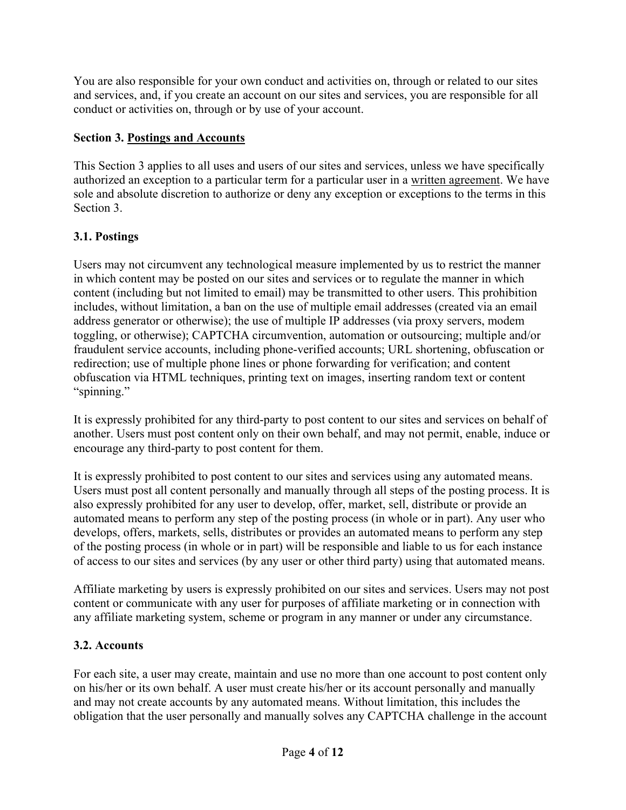You are also responsible for your own conduct and activities on, through or related to our sites and services, and, if you create an account on our sites and services, you are responsible for all conduct or activities on, through or by use of your account.

# **Section 3. Postings and Accounts**

This Section 3 applies to all uses and users of our sites and services, unless we have specifically authorized an exception to a particular term for a particular user in a written agreement. We have sole and absolute discretion to authorize or deny any exception or exceptions to the terms in this Section 3.

# **3.1. Postings**

Users may not circumvent any technological measure implemented by us to restrict the manner in which content may be posted on our sites and services or to regulate the manner in which content (including but not limited to email) may be transmitted to other users. This prohibition includes, without limitation, a ban on the use of multiple email addresses (created via an email address generator or otherwise); the use of multiple IP addresses (via proxy servers, modem toggling, or otherwise); CAPTCHA circumvention, automation or outsourcing; multiple and/or fraudulent service accounts, including phone-verified accounts; URL shortening, obfuscation or redirection; use of multiple phone lines or phone forwarding for verification; and content obfuscation via HTML techniques, printing text on images, inserting random text or content "spinning."

It is expressly prohibited for any third-party to post content to our sites and services on behalf of another. Users must post content only on their own behalf, and may not permit, enable, induce or encourage any third-party to post content for them.

It is expressly prohibited to post content to our sites and services using any automated means. Users must post all content personally and manually through all steps of the posting process. It is also expressly prohibited for any user to develop, offer, market, sell, distribute or provide an automated means to perform any step of the posting process (in whole or in part). Any user who develops, offers, markets, sells, distributes or provides an automated means to perform any step of the posting process (in whole or in part) will be responsible and liable to us for each instance of access to our sites and services (by any user or other third party) using that automated means.

Affiliate marketing by users is expressly prohibited on our sites and services. Users may not post content or communicate with any user for purposes of affiliate marketing or in connection with any affiliate marketing system, scheme or program in any manner or under any circumstance.

# **3.2. Accounts**

For each site, a user may create, maintain and use no more than one account to post content only on his/her or its own behalf. A user must create his/her or its account personally and manually and may not create accounts by any automated means. Without limitation, this includes the obligation that the user personally and manually solves any CAPTCHA challenge in the account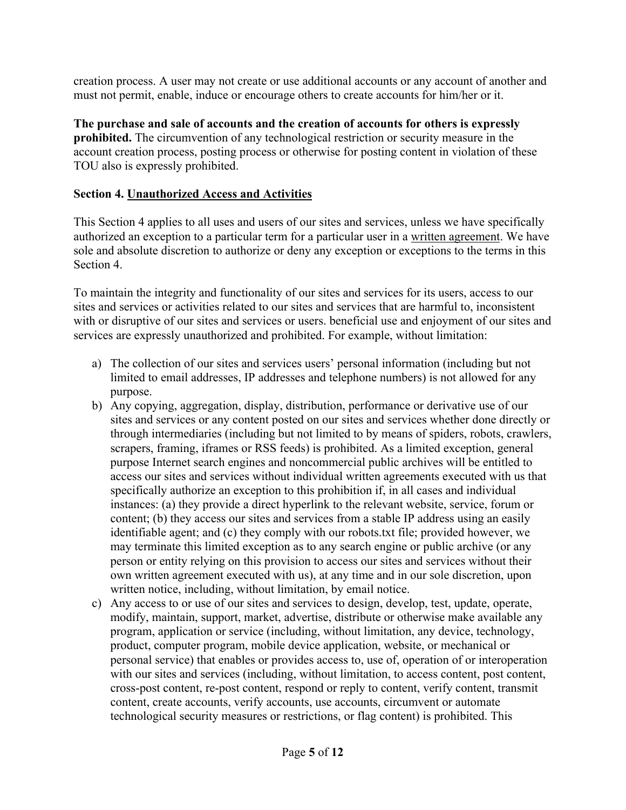creation process. A user may not create or use additional accounts or any account of another and must not permit, enable, induce or encourage others to create accounts for him/her or it.

**The purchase and sale of accounts and the creation of accounts for others is expressly prohibited.** The circumvention of any technological restriction or security measure in the account creation process, posting process or otherwise for posting content in violation of these TOU also is expressly prohibited.

# **Section 4. Unauthorized Access and Activities**

This Section 4 applies to all uses and users of our sites and services, unless we have specifically authorized an exception to a particular term for a particular user in a written agreement. We have sole and absolute discretion to authorize or deny any exception or exceptions to the terms in this Section 4.

To maintain the integrity and functionality of our sites and services for its users, access to our sites and services or activities related to our sites and services that are harmful to, inconsistent with or disruptive of our sites and services or users. beneficial use and enjoyment of our sites and services are expressly unauthorized and prohibited. For example, without limitation:

- a) The collection of our sites and services users' personal information (including but not limited to email addresses, IP addresses and telephone numbers) is not allowed for any purpose.
- b) Any copying, aggregation, display, distribution, performance or derivative use of our sites and services or any content posted on our sites and services whether done directly or through intermediaries (including but not limited to by means of spiders, robots, crawlers, scrapers, framing, iframes or RSS feeds) is prohibited. As a limited exception, general purpose Internet search engines and noncommercial public archives will be entitled to access our sites and services without individual written agreements executed with us that specifically authorize an exception to this prohibition if, in all cases and individual instances: (a) they provide a direct hyperlink to the relevant website, service, forum or content; (b) they access our sites and services from a stable IP address using an easily identifiable agent; and (c) they comply with our robots.txt file; provided however, we may terminate this limited exception as to any search engine or public archive (or any person or entity relying on this provision to access our sites and services without their own written agreement executed with us), at any time and in our sole discretion, upon written notice, including, without limitation, by email notice.
- c) Any access to or use of our sites and services to design, develop, test, update, operate, modify, maintain, support, market, advertise, distribute or otherwise make available any program, application or service (including, without limitation, any device, technology, product, computer program, mobile device application, website, or mechanical or personal service) that enables or provides access to, use of, operation of or interoperation with our sites and services (including, without limitation, to access content, post content, cross-post content, re-post content, respond or reply to content, verify content, transmit content, create accounts, verify accounts, use accounts, circumvent or automate technological security measures or restrictions, or flag content) is prohibited. This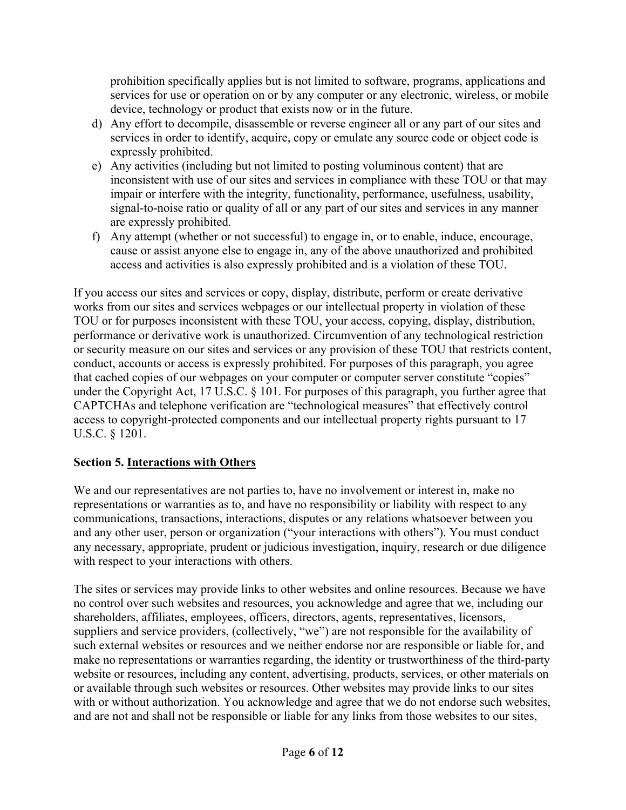prohibition specifically applies but is not limited to software, programs, applications and services for use or operation on or by any computer or any electronic, wireless, or mobile device, technology or product that exists now or in the future.

- d) Any effort to decompile, disassemble or reverse engineer all or any part of our sites and services in order to identify, acquire, copy or emulate any source code or object code is expressly prohibited.
- e) Any activities (including but not limited to posting voluminous content) that are inconsistent with use of our sites and services in compliance with these TOU or that may impair or interfere with the integrity, functionality, performance, usefulness, usability, signal-to-noise ratio or quality of all or any part of our sites and services in any manner are expressly prohibited.
- f) Any attempt (whether or not successful) to engage in, or to enable, induce, encourage, cause or assist anyone else to engage in, any of the above unauthorized and prohibited access and activities is also expressly prohibited and is a violation of these TOU.

If you access our sites and services or copy, display, distribute, perform or create derivative works from our sites and services webpages or our intellectual property in violation of these TOU or for purposes inconsistent with these TOU, your access, copying, display, distribution, performance or derivative work is unauthorized. Circumvention of any technological restriction or security measure on our sites and services or any provision of these TOU that restricts content, conduct, accounts or access is expressly prohibited. For purposes of this paragraph, you agree that cached copies of our webpages on your computer or computer server constitute "copies" under the Copyright Act, 17 U.S.C. § 101. For purposes of this paragraph, you further agree that CAPTCHAs and telephone verification are "technological measures" that effectively control access to copyright-protected components and our intellectual property rights pursuant to 17 U.S.C. § 1201.

# **Section 5. Interactions with Others**

We and our representatives are not parties to, have no involvement or interest in, make no representations or warranties as to, and have no responsibility or liability with respect to any communications, transactions, interactions, disputes or any relations whatsoever between you and any other user, person or organization ("your interactions with others"). You must conduct any necessary, appropriate, prudent or judicious investigation, inquiry, research or due diligence with respect to your interactions with others.

The sites or services may provide links to other websites and online resources. Because we have no control over such websites and resources, you acknowledge and agree that we, including our shareholders, affiliates, employees, officers, directors, agents, representatives, licensors, suppliers and service providers, (collectively, "we") are not responsible for the availability of such external websites or resources and we neither endorse nor are responsible or liable for, and make no representations or warranties regarding, the identity or trustworthiness of the third-party website or resources, including any content, advertising, products, services, or other materials on or available through such websites or resources. Other websites may provide links to our sites with or without authorization. You acknowledge and agree that we do not endorse such websites, and are not and shall not be responsible or liable for any links from those websites to our sites,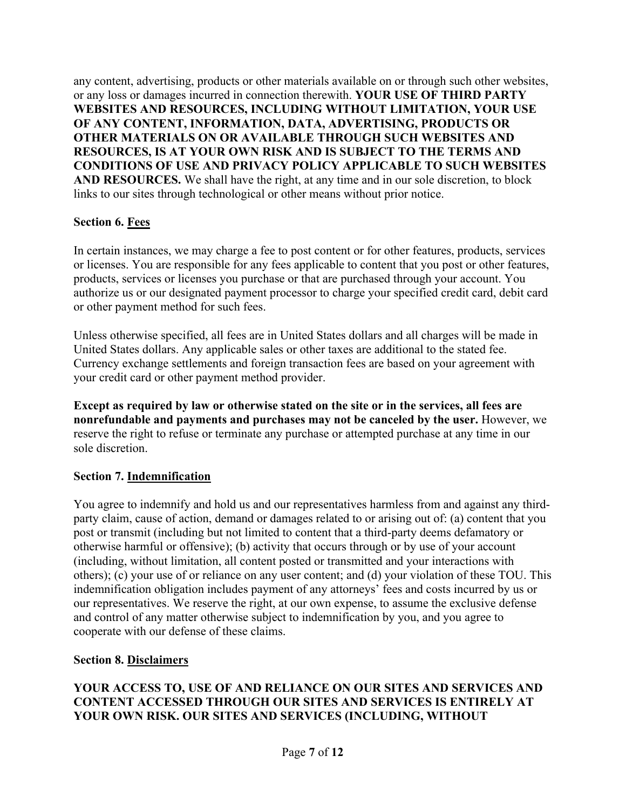any content, advertising, products or other materials available on or through such other websites, or any loss or damages incurred in connection therewith. **YOUR USE OF THIRD PARTY WEBSITES AND RESOURCES, INCLUDING WITHOUT LIMITATION, YOUR USE OF ANY CONTENT, INFORMATION, DATA, ADVERTISING, PRODUCTS OR OTHER MATERIALS ON OR AVAILABLE THROUGH SUCH WEBSITES AND RESOURCES, IS AT YOUR OWN RISK AND IS SUBJECT TO THE TERMS AND CONDITIONS OF USE AND PRIVACY POLICY APPLICABLE TO SUCH WEBSITES AND RESOURCES.** We shall have the right, at any time and in our sole discretion, to block links to our sites through technological or other means without prior notice.

# **Section 6. Fees**

In certain instances, we may charge a fee to post content or for other features, products, services or licenses. You are responsible for any fees applicable to content that you post or other features, products, services or licenses you purchase or that are purchased through your account. You authorize us or our designated payment processor to charge your specified credit card, debit card or other payment method for such fees.

Unless otherwise specified, all fees are in United States dollars and all charges will be made in United States dollars. Any applicable sales or other taxes are additional to the stated fee. Currency exchange settlements and foreign transaction fees are based on your agreement with your credit card or other payment method provider.

**Except as required by law or otherwise stated on the site or in the services, all fees are nonrefundable and payments and purchases may not be canceled by the user.** However, we reserve the right to refuse or terminate any purchase or attempted purchase at any time in our sole discretion.

# **Section 7. Indemnification**

You agree to indemnify and hold us and our representatives harmless from and against any thirdparty claim, cause of action, demand or damages related to or arising out of: (a) content that you post or transmit (including but not limited to content that a third-party deems defamatory or otherwise harmful or offensive); (b) activity that occurs through or by use of your account (including, without limitation, all content posted or transmitted and your interactions with others); (c) your use of or reliance on any user content; and (d) your violation of these TOU. This indemnification obligation includes payment of any attorneys' fees and costs incurred by us or our representatives. We reserve the right, at our own expense, to assume the exclusive defense and control of any matter otherwise subject to indemnification by you, and you agree to cooperate with our defense of these claims.

# **Section 8. Disclaimers**

## **YOUR ACCESS TO, USE OF AND RELIANCE ON OUR SITES AND SERVICES AND CONTENT ACCESSED THROUGH OUR SITES AND SERVICES IS ENTIRELY AT YOUR OWN RISK. OUR SITES AND SERVICES (INCLUDING, WITHOUT**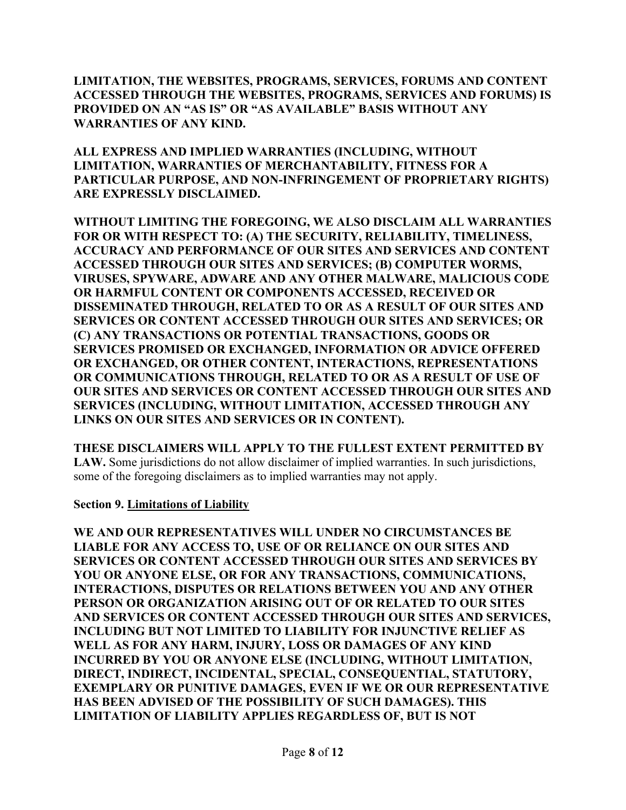**LIMITATION, THE WEBSITES, PROGRAMS, SERVICES, FORUMS AND CONTENT ACCESSED THROUGH THE WEBSITES, PROGRAMS, SERVICES AND FORUMS) IS PROVIDED ON AN "AS IS" OR "AS AVAILABLE" BASIS WITHOUT ANY WARRANTIES OF ANY KIND.** 

**ALL EXPRESS AND IMPLIED WARRANTIES (INCLUDING, WITHOUT LIMITATION, WARRANTIES OF MERCHANTABILITY, FITNESS FOR A PARTICULAR PURPOSE, AND NON-INFRINGEMENT OF PROPRIETARY RIGHTS) ARE EXPRESSLY DISCLAIMED.** 

**WITHOUT LIMITING THE FOREGOING, WE ALSO DISCLAIM ALL WARRANTIES FOR OR WITH RESPECT TO: (A) THE SECURITY, RELIABILITY, TIMELINESS, ACCURACY AND PERFORMANCE OF OUR SITES AND SERVICES AND CONTENT ACCESSED THROUGH OUR SITES AND SERVICES; (B) COMPUTER WORMS, VIRUSES, SPYWARE, ADWARE AND ANY OTHER MALWARE, MALICIOUS CODE OR HARMFUL CONTENT OR COMPONENTS ACCESSED, RECEIVED OR DISSEMINATED THROUGH, RELATED TO OR AS A RESULT OF OUR SITES AND SERVICES OR CONTENT ACCESSED THROUGH OUR SITES AND SERVICES; OR (C) ANY TRANSACTIONS OR POTENTIAL TRANSACTIONS, GOODS OR SERVICES PROMISED OR EXCHANGED, INFORMATION OR ADVICE OFFERED OR EXCHANGED, OR OTHER CONTENT, INTERACTIONS, REPRESENTATIONS OR COMMUNICATIONS THROUGH, RELATED TO OR AS A RESULT OF USE OF OUR SITES AND SERVICES OR CONTENT ACCESSED THROUGH OUR SITES AND SERVICES (INCLUDING, WITHOUT LIMITATION, ACCESSED THROUGH ANY LINKS ON OUR SITES AND SERVICES OR IN CONTENT).** 

**THESE DISCLAIMERS WILL APPLY TO THE FULLEST EXTENT PERMITTED BY LAW.** Some jurisdictions do not allow disclaimer of implied warranties. In such jurisdictions, some of the foregoing disclaimers as to implied warranties may not apply.

**Section 9. Limitations of Liability** 

**WE AND OUR REPRESENTATIVES WILL UNDER NO CIRCUMSTANCES BE LIABLE FOR ANY ACCESS TO, USE OF OR RELIANCE ON OUR SITES AND SERVICES OR CONTENT ACCESSED THROUGH OUR SITES AND SERVICES BY YOU OR ANYONE ELSE, OR FOR ANY TRANSACTIONS, COMMUNICATIONS, INTERACTIONS, DISPUTES OR RELATIONS BETWEEN YOU AND ANY OTHER PERSON OR ORGANIZATION ARISING OUT OF OR RELATED TO OUR SITES AND SERVICES OR CONTENT ACCESSED THROUGH OUR SITES AND SERVICES, INCLUDING BUT NOT LIMITED TO LIABILITY FOR INJUNCTIVE RELIEF AS WELL AS FOR ANY HARM, INJURY, LOSS OR DAMAGES OF ANY KIND INCURRED BY YOU OR ANYONE ELSE (INCLUDING, WITHOUT LIMITATION, DIRECT, INDIRECT, INCIDENTAL, SPECIAL, CONSEQUENTIAL, STATUTORY, EXEMPLARY OR PUNITIVE DAMAGES, EVEN IF WE OR OUR REPRESENTATIVE HAS BEEN ADVISED OF THE POSSIBILITY OF SUCH DAMAGES). THIS LIMITATION OF LIABILITY APPLIES REGARDLESS OF, BUT IS NOT**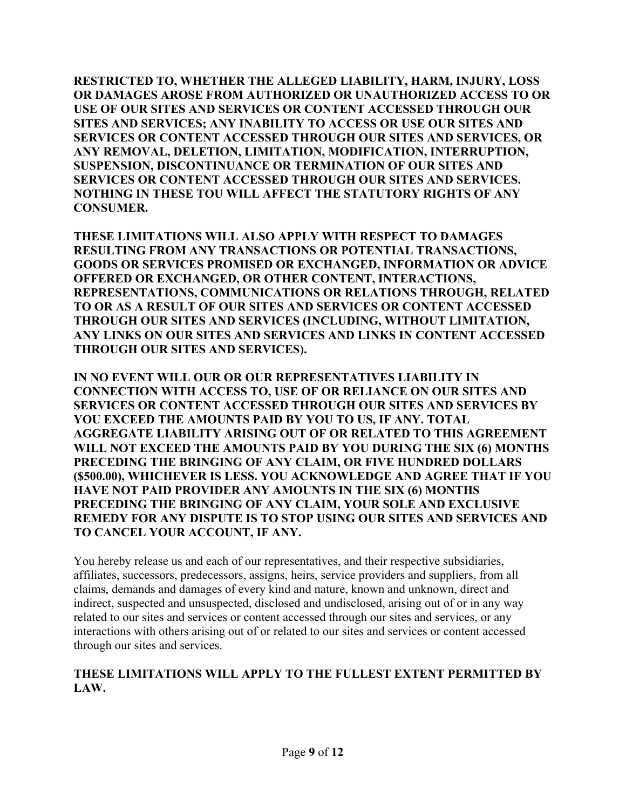**RESTRICTED TO, WHETHER THE ALLEGED LIABILITY, HARM, INJURY, LOSS OR DAMAGES AROSE FROM AUTHORIZED OR UNAUTHORIZED ACCESS TO OR USE OF OUR SITES AND SERVICES OR CONTENT ACCESSED THROUGH OUR SITES AND SERVICES; ANY INABILITY TO ACCESS OR USE OUR SITES AND SERVICES OR CONTENT ACCESSED THROUGH OUR SITES AND SERVICES, OR ANY REMOVAL, DELETION, LIMITATION, MODIFICATION, INTERRUPTION, SUSPENSION, DISCONTINUANCE OR TERMINATION OF OUR SITES AND SERVICES OR CONTENT ACCESSED THROUGH OUR SITES AND SERVICES. NOTHING IN THESE TOU WILL AFFECT THE STATUTORY RIGHTS OF ANY CONSUMER.** 

**THESE LIMITATIONS WILL ALSO APPLY WITH RESPECT TO DAMAGES RESULTING FROM ANY TRANSACTIONS OR POTENTIAL TRANSACTIONS, GOODS OR SERVICES PROMISED OR EXCHANGED, INFORMATION OR ADVICE OFFERED OR EXCHANGED, OR OTHER CONTENT, INTERACTIONS, REPRESENTATIONS, COMMUNICATIONS OR RELATIONS THROUGH, RELATED TO OR AS A RESULT OF OUR SITES AND SERVICES OR CONTENT ACCESSED THROUGH OUR SITES AND SERVICES (INCLUDING, WITHOUT LIMITATION, ANY LINKS ON OUR SITES AND SERVICES AND LINKS IN CONTENT ACCESSED THROUGH OUR SITES AND SERVICES).** 

**IN NO EVENT WILL OUR OR OUR REPRESENTATIVES LIABILITY IN CONNECTION WITH ACCESS TO, USE OF OR RELIANCE ON OUR SITES AND SERVICES OR CONTENT ACCESSED THROUGH OUR SITES AND SERVICES BY YOU EXCEED THE AMOUNTS PAID BY YOU TO US, IF ANY. TOTAL AGGREGATE LIABILITY ARISING OUT OF OR RELATED TO THIS AGREEMENT WILL NOT EXCEED THE AMOUNTS PAID BY YOU DURING THE SIX (6) MONTHS PRECEDING THE BRINGING OF ANY CLAIM, OR FIVE HUNDRED DOLLARS (\$500.00), WHICHEVER IS LESS. YOU ACKNOWLEDGE AND AGREE THAT IF YOU HAVE NOT PAID PROVIDER ANY AMOUNTS IN THE SIX (6) MONTHS PRECEDING THE BRINGING OF ANY CLAIM, YOUR SOLE AND EXCLUSIVE REMEDY FOR ANY DISPUTE IS TO STOP USING OUR SITES AND SERVICES AND TO CANCEL YOUR ACCOUNT, IF ANY.** 

You hereby release us and each of our representatives, and their respective subsidiaries, affiliates, successors, predecessors, assigns, heirs, service providers and suppliers, from all claims, demands and damages of every kind and nature, known and unknown, direct and indirect, suspected and unsuspected, disclosed and undisclosed, arising out of or in any way related to our sites and services or content accessed through our sites and services, or any interactions with others arising out of or related to our sites and services or content accessed through our sites and services.

#### **THESE LIMITATIONS WILL APPLY TO THE FULLEST EXTENT PERMITTED BY LAW.**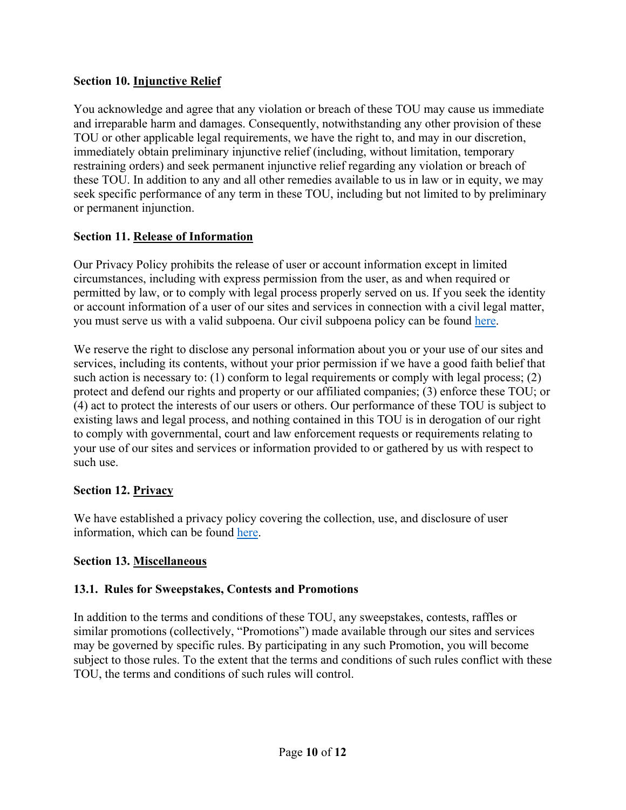# **Section 10. Injunctive Relief**

You acknowledge and agree that any violation or breach of these TOU may cause us immediate and irreparable harm and damages. Consequently, notwithstanding any other provision of these TOU or other applicable legal requirements, we have the right to, and may in our discretion, immediately obtain preliminary injunctive relief (including, without limitation, temporary restraining orders) and seek permanent injunctive relief regarding any violation or breach of these TOU. In addition to any and all other remedies available to us in law or in equity, we may seek specific performance of any term in these TOU, including but not limited to by preliminary or permanent injunction.

### **Section 11. Release of Information**

Our Privacy Policy prohibits the release of user or account information except in limited circumstances, including with express permission from the user, as and when required or permitted by law, or to comply with legal process properly served on us. If you seek the identity or account information of a user of our sites and services in connection with a civil legal matter, you must serve us with a valid subpoena. Our civil subpoena policy can be found here.

We reserve the right to disclose any personal information about you or your use of our sites and services, including its contents, without your prior permission if we have a good faith belief that such action is necessary to: (1) conform to legal requirements or comply with legal process; (2) protect and defend our rights and property or our affiliated companies; (3) enforce these TOU; or (4) act to protect the interests of our users or others. Our performance of these TOU is subject to existing laws and legal process, and nothing contained in this TOU is in derogation of our right to comply with governmental, court and law enforcement requests or requirements relating to your use of our sites and services or information provided to or gathered by us with respect to such use.

#### **Section 12. Privacy**

We have established a privacy policy covering the collection, use, and disclosure of user information, which can be found here.

# **Section 13. Miscellaneous**

#### **13.1. Rules for Sweepstakes, Contests and Promotions**

In addition to the terms and conditions of these TOU, any sweepstakes, contests, raffles or similar promotions (collectively, "Promotions") made available through our sites and services may be governed by specific rules. By participating in any such Promotion, you will become subject to those rules. To the extent that the terms and conditions of such rules conflict with these TOU, the terms and conditions of such rules will control.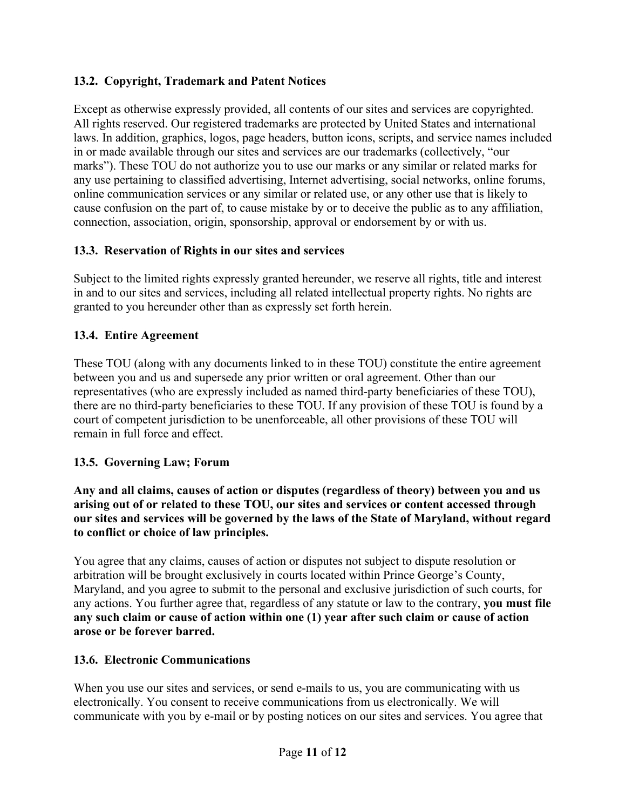# **13.2. Copyright, Trademark and Patent Notices**

Except as otherwise expressly provided, all contents of our sites and services are copyrighted. All rights reserved. Our registered trademarks are protected by United States and international laws. In addition, graphics, logos, page headers, button icons, scripts, and service names included in or made available through our sites and services are our trademarks (collectively, "our marks"). These TOU do not authorize you to use our marks or any similar or related marks for any use pertaining to classified advertising, Internet advertising, social networks, online forums, online communication services or any similar or related use, or any other use that is likely to cause confusion on the part of, to cause mistake by or to deceive the public as to any affiliation, connection, association, origin, sponsorship, approval or endorsement by or with us.

# **13.3. Reservation of Rights in our sites and services**

Subject to the limited rights expressly granted hereunder, we reserve all rights, title and interest in and to our sites and services, including all related intellectual property rights. No rights are granted to you hereunder other than as expressly set forth herein.

# **13.4. Entire Agreement**

These TOU (along with any documents linked to in these TOU) constitute the entire agreement between you and us and supersede any prior written or oral agreement. Other than our representatives (who are expressly included as named third-party beneficiaries of these TOU), there are no third-party beneficiaries to these TOU. If any provision of these TOU is found by a court of competent jurisdiction to be unenforceable, all other provisions of these TOU will remain in full force and effect.

# **13.5. Governing Law; Forum**

**Any and all claims, causes of action or disputes (regardless of theory) between you and us arising out of or related to these TOU, our sites and services or content accessed through our sites and services will be governed by the laws of the State of Maryland, without regard to conflict or choice of law principles.** 

You agree that any claims, causes of action or disputes not subject to dispute resolution or arbitration will be brought exclusively in courts located within Prince George's County, Maryland, and you agree to submit to the personal and exclusive jurisdiction of such courts, for any actions. You further agree that, regardless of any statute or law to the contrary, **you must file any such claim or cause of action within one (1) year after such claim or cause of action arose or be forever barred.** 

# **13.6. Electronic Communications**

When you use our sites and services, or send e-mails to us, you are communicating with us electronically. You consent to receive communications from us electronically. We will communicate with you by e-mail or by posting notices on our sites and services. You agree that